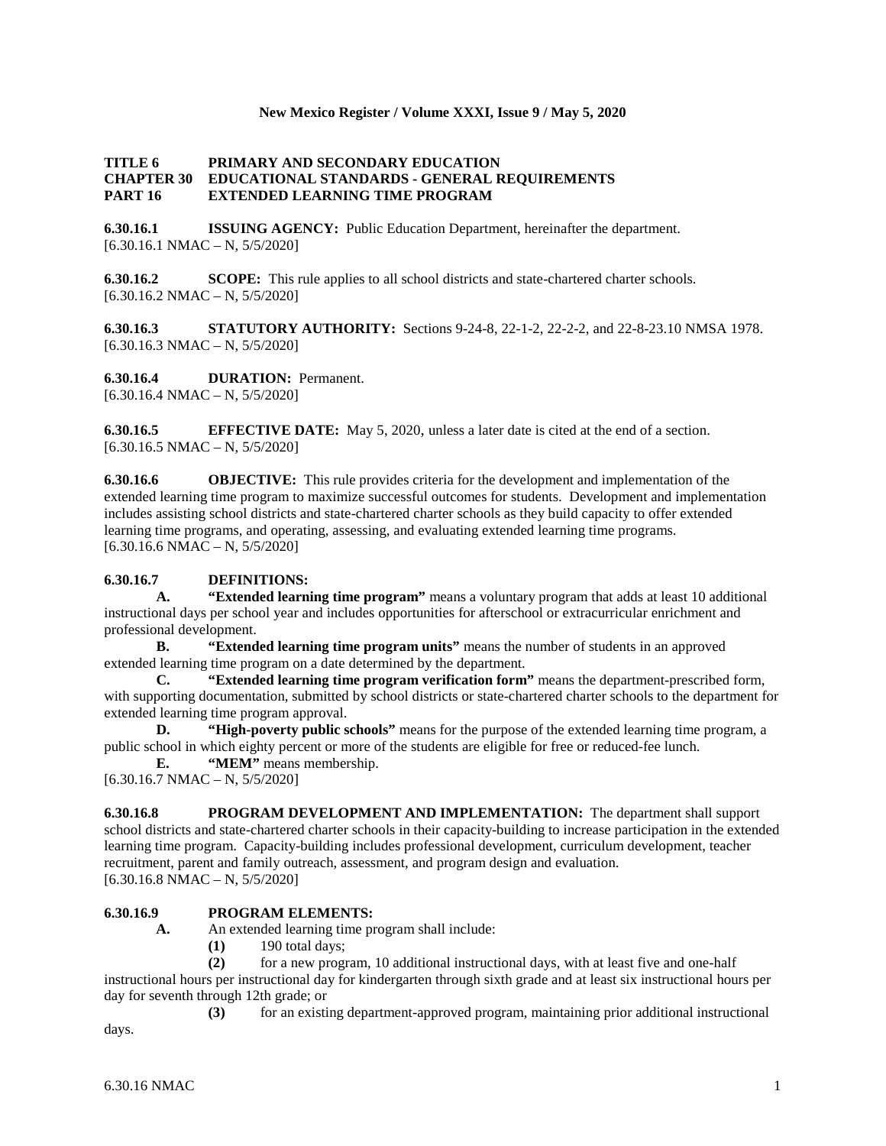#### **New Mexico Register / Volume XXXI, Issue 9 / May 5, 2020**

#### **TITLE 6 PRIMARY AND SECONDARY EDUCATION CHAPTER 30 EDUCATIONAL STANDARDS - GENERAL REQUIREMENTS PART 16 EXTENDED LEARNING TIME PROGRAM**

**6.30.16.1 ISSUING AGENCY:** Public Education Department, hereinafter the department.  $[6.30.16.1 \text{ NMAC} - \text{N}, 5/5/2020]$ 

**6.30.16.2 SCOPE:** This rule applies to all school districts and state-chartered charter schools.  $[6.30.16.2 \text{ NMAC} - \text{N}, 5/5/2020]$ 

**6.30.16.3 STATUTORY AUTHORITY:** Sections 9-24-8, 22-1-2, 22-2-2, and 22-8-23.10 NMSA 1978.  $[6.30.16.3 \text{ NMAC} - \text{N}, 5/5/2020]$ 

**6.30.16.4 DURATION:** Permanent.  $[6.30.16.4 \text{ NMAC} - \text{N}, 5/5/2020]$ 

**6.30.16.5 EFFECTIVE DATE:** May 5, 2020, unless a later date is cited at the end of a section.  $[6.30.16.5 \text{ NMAC} - \text{N}, 5/5/2020]$ 

**6.30.16.6 OBJECTIVE:** This rule provides criteria for the development and implementation of the extended learning time program to maximize successful outcomes for students. Development and implementation includes assisting school districts and state-chartered charter schools as they build capacity to offer extended learning time programs, and operating, assessing, and evaluating extended learning time programs.  $[6.30.16.6 \text{ NMAC} - \text{N}, 5/5/2020]$ 

## **6.30.16.7 DEFINITIONS:**

**A. "Extended learning time program"** means a voluntary program that adds at least 10 additional instructional days per school year and includes opportunities for afterschool or extracurricular enrichment and professional development.

**B. "Extended learning time program units"** means the number of students in an approved extended learning time program on a date determined by the department.

**C. "Extended learning time program verification form"** means the department-prescribed form, with supporting documentation, submitted by school districts or state-chartered charter schools to the department for extended learning time program approval.

**D. "High-poverty public schools"** means for the purpose of the extended learning time program, a public school in which eighty percent or more of the students are eligible for free or reduced-fee lunch.

**E. "MEM"** means membership.

 $[6.30.16.7 \text{ NMAC} - \text{N}, 5/5/2020]$ 

**6.30.16.8 PROGRAM DEVELOPMENT AND IMPLEMENTATION:** The department shall support school districts and state-chartered charter schools in their capacity-building to increase participation in the extended learning time program. Capacity-building includes professional development, curriculum development, teacher recruitment, parent and family outreach, assessment, and program design and evaluation.  $[6.30.16.8 \text{ NMAC} - \text{N}, 5/5/2020]$ 

## **6.30.16.9 PROGRAM ELEMENTS:**

- **A.** An extended learning time program shall include:
	- **(1)** 190 total days;

**(2)** for a new program, 10 additional instructional days, with at least five and one-half instructional hours per instructional day for kindergarten through sixth grade and at least six instructional hours per

day for seventh through 12th grade; or

**(3)** for an existing department-approved program, maintaining prior additional instructional days.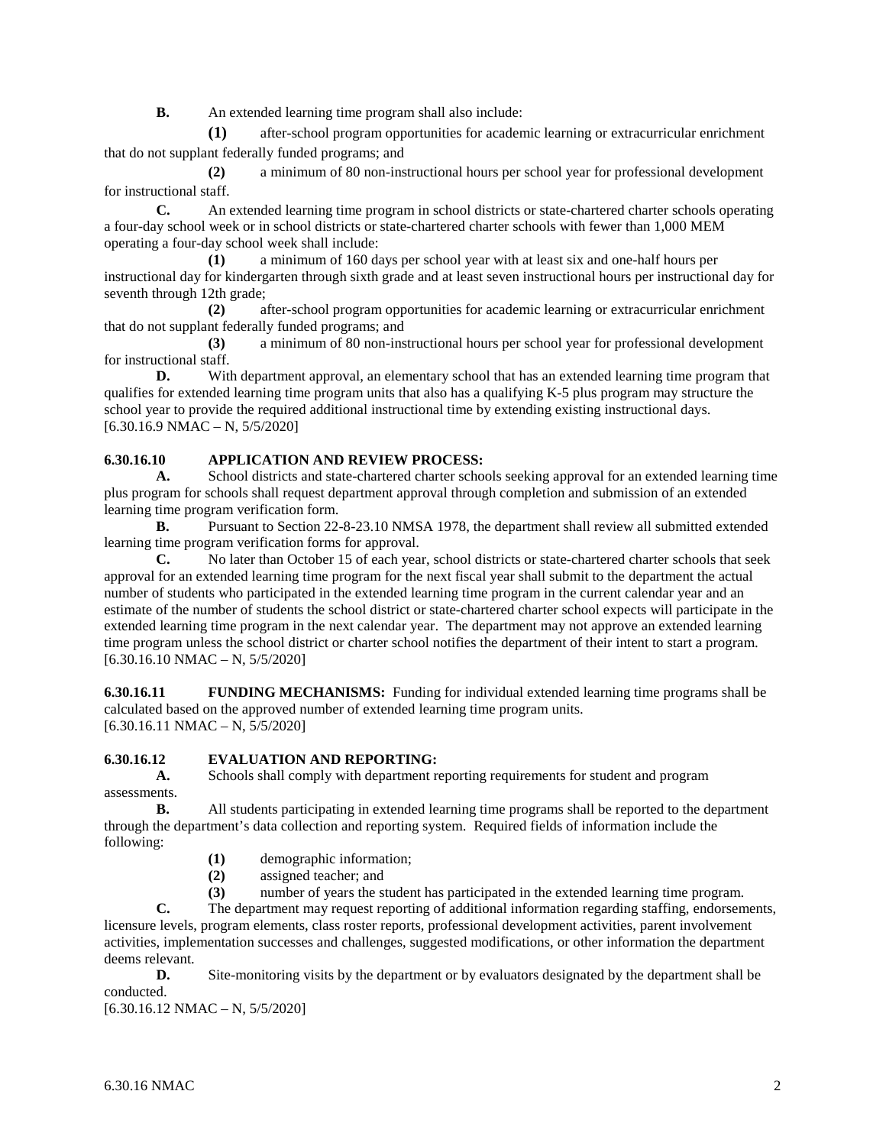**B.** An extended learning time program shall also include:

**(1)** after-school program opportunities for academic learning or extracurricular enrichment that do not supplant federally funded programs; and

**(2)** a minimum of 80 non-instructional hours per school year for professional development for instructional staff.

**C.** An extended learning time program in school districts or state-chartered charter schools operating a four-day school week or in school districts or state-chartered charter schools with fewer than 1,000 MEM operating a four-day school week shall include:

**(1)** a minimum of 160 days per school year with at least six and one-half hours per instructional day for kindergarten through sixth grade and at least seven instructional hours per instructional day for seventh through 12th grade;

**(2)** after-school program opportunities for academic learning or extracurricular enrichment that do not supplant federally funded programs; and

**(3)** a minimum of 80 non-instructional hours per school year for professional development for instructional staff.

**D.** With department approval, an elementary school that has an extended learning time program that qualifies for extended learning time program units that also has a qualifying K-5 plus program may structure the school year to provide the required additional instructional time by extending existing instructional days.  $[6.30.16.9 \text{ NMAC} - \text{N}, 5/5/2020]$ 

# **6.30.16.10 APPLICATION AND REVIEW PROCESS:**

**A.** School districts and state-chartered charter schools seeking approval for an extended learning time plus program for schools shall request department approval through completion and submission of an extended learning time program verification form.<br>**B.** Pursuant to Section 22-

**B.** Pursuant to Section 22-8-23.10 NMSA 1978, the department shall review all submitted extended learning time program verification forms for approval.

**C.** No later than October 15 of each year, school districts or state-chartered charter schools that seek approval for an extended learning time program for the next fiscal year shall submit to the department the actual number of students who participated in the extended learning time program in the current calendar year and an estimate of the number of students the school district or state-chartered charter school expects will participate in the extended learning time program in the next calendar year. The department may not approve an extended learning time program unless the school district or charter school notifies the department of their intent to start a program.  $[6.30.16.10 NMAC - N, 5/5/2020]$ 

**6.30.16.11 FUNDING MECHANISMS:** Funding for individual extended learning time programs shall be calculated based on the approved number of extended learning time program units.  $[6.30.16.11 \text{ NMAC} - \text{N}, 5/5/2020]$ 

## **6.30.16.12 EVALUATION AND REPORTING:**

**A.** Schools shall comply with department reporting requirements for student and program assessments.

**B.** All students participating in extended learning time programs shall be reported to the department through the department's data collection and reporting system. Required fields of information include the following:

- **(1)** demographic information;
- **(2)** assigned teacher; and
- **(3)** number of years the student has participated in the extended learning time program.

**C.** The department may request reporting of additional information regarding staffing, endorsements, licensure levels, program elements, class roster reports, professional development activities, parent involvement activities, implementation successes and challenges, suggested modifications, or other information the department deems relevant.

**D.** Site-monitoring visits by the department or by evaluators designated by the department shall be conducted.

 $[6.30.16.12 NMAC - N, 5/5/2020]$